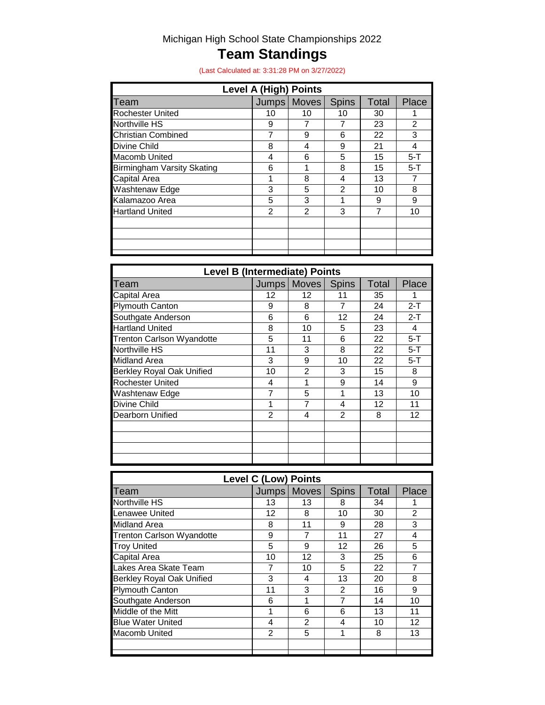# Michigan High School State Championships 2022

# **Team Standings**

(Last Calculated at: 3:31:28 PM on 3/27/2022)

| <b>Level A (High) Points</b> |                |              |       |         |  |  |
|------------------------------|----------------|--------------|-------|---------|--|--|
|                              | <b>Moves</b>   | <b>Spins</b> | Total | Place   |  |  |
| 10                           | 10             | 10           | 30    |         |  |  |
| 9                            | 7              |              | 23    | 2       |  |  |
|                              | 9              | 6            | 22    | 3       |  |  |
| 8                            | 4              | 9            | 21    | 4       |  |  |
| 4                            | 6              | 5            | 15    | $5 - T$ |  |  |
| 6                            |                | 8            | 15    | $5-T$   |  |  |
|                              | 8              | 4            | 13    | 7       |  |  |
| 3                            | 5              | 2            | 10    | 8       |  |  |
| 5                            | 3              |              | 9     | 9       |  |  |
| $\mathfrak{p}$               | $\overline{2}$ | 3            | 7     | 10      |  |  |
|                              |                |              |       |         |  |  |
|                              |                |              |       |         |  |  |
|                              |                |              |       |         |  |  |
|                              | <b>Jumps</b>   |              |       |         |  |  |

| <b>Level B (Intermediate) Points</b> |    |               |                |       |       |
|--------------------------------------|----|---------------|----------------|-------|-------|
| Team                                 |    | Jumps   Moves | <b>Spins</b>   | Total | Place |
| Capital Area                         | 12 | 12            | 11             | 35    |       |
| <b>Plymouth Canton</b>               | 9  | 8             | 7              | 24    | $2-T$ |
| Southgate Anderson                   | 6  | 6             | 12             | 24    | $2-T$ |
| <b>Hartland United</b>               | 8  | 10            | 5              | 23    | 4     |
| <b>Trenton Carlson Wyandotte</b>     | 5  | 11            | 6              | 22    | $5-T$ |
| <b>Northville HS</b>                 | 11 | 3             | 8              | 22    | $5-T$ |
| Midland Area                         | 3  | 9             | 10             | 22    | $5-T$ |
| <b>Berkley Royal Oak Unified</b>     | 10 | 2             | 3              | 15    | 8     |
| <b>Rochester United</b>              | 4  |               | 9              | 14    | 9     |
| Washtenaw Edge                       | 7  | 5             | 1              | 13    | 10    |
| <b>Divine Child</b>                  |    | 7             | 4              | 12    | 11    |
| Dearborn Unified                     | 2  | 4             | $\overline{2}$ | 8     | 12    |
|                                      |    |               |                |       |       |
|                                      |    |               |                |       |       |
|                                      |    |               |                |       |       |
|                                      |    |               |                |       |       |

| <b>Level C (Low) Points</b>      |       |                |                |              |                |  |
|----------------------------------|-------|----------------|----------------|--------------|----------------|--|
| Team                             | Jumps | Moves          | <b>Spins</b>   | <b>Total</b> | Place          |  |
| <b>Northville HS</b>             | 13    | 13             | 8              | 34           |                |  |
| Lenawee United                   | 12    | 8              | 10             | 30           | $\overline{2}$ |  |
| <b>Midland Area</b>              | 8     | 11             | 9              | 28           | 3              |  |
| <b>Trenton Carlson Wyandotte</b> | 9     | 7              | 11             | 27           | 4              |  |
| <b>Troy United</b>               | 5     | 9              | 12             | 26           | 5              |  |
| Capital Area                     | 10    | 12             | 3              | 25           | 6              |  |
| Lakes Area Skate Team            |       | 10             | 5              | 22           | 7              |  |
| Berkley Royal Oak Unified        | 3     | 4              | 13             | 20           | 8              |  |
| <b>Plymouth Canton</b>           | 11    | 3              | $\mathfrak{p}$ | 16           | 9              |  |
| Southgate Anderson               | 6     | 1              | 7              | 14           | 10             |  |
| Middle of the Mitt               |       | 6              | 6              | 13           | 11             |  |
| <b>Blue Water United</b>         | 4     | $\overline{2}$ | 4              | 10           | 12             |  |
| <b>Macomb United</b>             | 2     | 5              | 1              | 8            | 13             |  |
|                                  |       |                |                |              |                |  |
|                                  |       |                |                |              |                |  |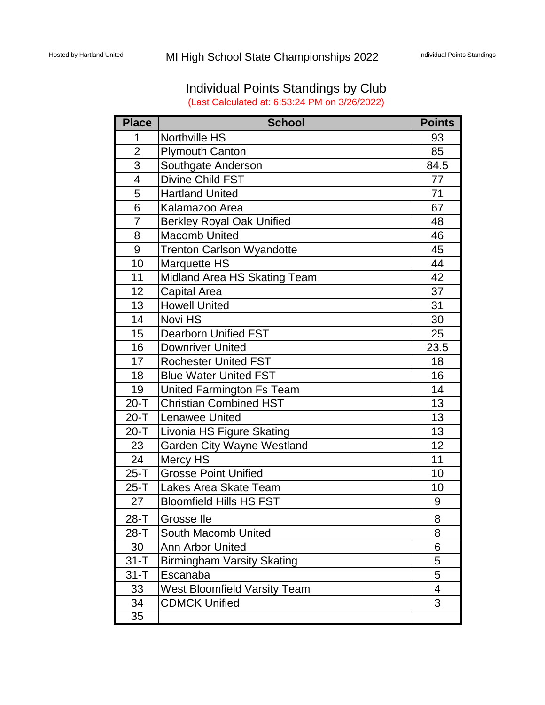# Individual Points Standings by Club (Last Calculated at: 6:53:24 PM on 3/26/2022)

| <b>Place</b>            | <b>School</b>                       | <b>Points</b> |
|-------------------------|-------------------------------------|---------------|
| 1                       | <b>Northville HS</b>                | 93            |
| $\overline{2}$          | <b>Plymouth Canton</b>              | 85            |
| 3                       | Southgate Anderson                  | 84.5          |
| $\overline{\mathbf{4}}$ | Divine Child FST                    | 77            |
| 5                       | <b>Hartland United</b>              | 71            |
| 6                       | Kalamazoo Area                      | 67            |
| $\overline{7}$          | <b>Berkley Royal Oak Unified</b>    | 48            |
| 8                       | <b>Macomb United</b>                | 46            |
| 9                       | <b>Trenton Carlson Wyandotte</b>    | 45            |
| 10                      | <b>Marquette HS</b>                 | 44            |
| 11                      | Midland Area HS Skating Team        | 42            |
| 12                      | <b>Capital Area</b>                 | 37            |
| 13                      | <b>Howell United</b>                | 31            |
| 14                      | Novi HS                             | 30            |
| 15                      | <b>Dearborn Unified FST</b>         | 25            |
| 16                      | <b>Downriver United</b>             | 23.5          |
| 17                      | <b>Rochester United FST</b>         | 18            |
| 18                      | <b>Blue Water United FST</b>        | 16            |
| 19                      | United Farmington Fs Team           | 14            |
| $20 - T$                | <b>Christian Combined HST</b>       | 13            |
| $20 - T$                | <b>Lenawee United</b>               | 13            |
| $20 - T$                | <b>Livonia HS Figure Skating</b>    | 13            |
| 23                      | <b>Garden City Wayne Westland</b>   | 12            |
| 24                      | Mercy HS                            | 11            |
| $25-T$                  | <b>Grosse Point Unified</b>         | 10            |
| $25-T$                  | Lakes Area Skate Team               | 10            |
| 27                      | <b>Bloomfield Hills HS FST</b>      | 9             |
| 28-T                    | Grosse Ile                          | 8             |
| $28-T$                  | South Macomb United                 | 8             |
| 30                      | <b>Ann Arbor United</b>             | 6             |
| $31 - T$                | <b>Birmingham Varsity Skating</b>   | 5             |
| $31 - T$                | Escanaba                            | 5             |
| 33                      | <b>West Bloomfield Varsity Team</b> | 4             |
| 34                      | <b>CDMCK Unified</b>                | 3             |
| 35                      |                                     |               |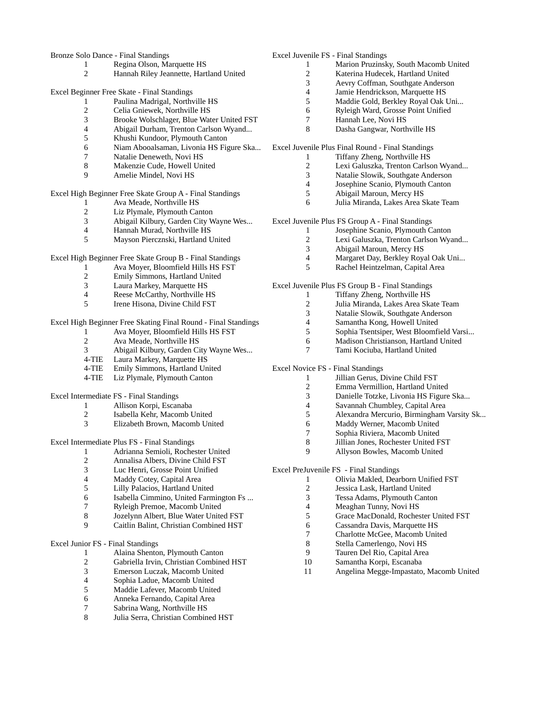#### Bronze Solo Dance - Final Standings

- 1 Regina Olson, Marquette HS<br>2 Hannah Riley Jeannette, Hartl
- Hannah Riley Jeannette, Hartland United

Excel Beginner Free Skate - Final Standings

- Paulina Madrigal, Northville HS
- Celia Gniewek, Northville HS
- 3 Brooke Wolschlager, Blue Water United FST<br>4 Abigail Durham, Trenton Carlson Wyand...
- 4 Abigail Durham, Trenton Carlson Wyand...<br>5 Khushi Kundoor, Plymouth Canton
- 5 Khushi Kundoor, Plymouth Canton<br>6 Niam Abooalsaman, Livonia HS Fig
- Niam Abooalsaman, Livonia HS Figure Ska...
- 7 **Natalie Deneweth, Novi HS**<br>8 **Makenzie Cude Howell Uni**
- Makenzie Cude, Howell United
- Amelie Mindel, Novi HS

Excel High Beginner Free Skate Group A - Final Standings

- Ava Meade, Northville HS
- 2 Liz Plymale, Plymouth Canton<br>3 Abigail Kilbury, Garden City W
- Abigail Kilbury, Garden City Wayne Wes...
- 4 Hannah Murad, Northville HS<br>5 Mavson Piercznski, Hartland U
- Mayson Piercznski, Hartland United

Excel High Beginner Free Skate Group B - Final Standings

- 1 Ava Moyer, Bloomfield Hills HS FST
- 2 Emily Simmons, Hartland United<br>3 Laura Markey, Marquette HS
- 3 Laura Markey, Marquette HS<br>4 Reese McCarthy, Northville H
- Reese McCarthy, Northville HS
- Irene Hisona, Divine Child FST

# Excel High Beginner Free Skating Final Round - Final Standings

- Ava Moyer, Bloomfield Hills HS FST
- Ava Meade, Northville HS
- Abigail Kilbury, Garden City Wayne Wes...
- 4-TIE Laura Markey, Marquette HS
- 4-TIE Emily Simmons, Hartland United
- 4-TIE Liz Plymale, Plymouth Canton

Excel Intermediate FS - Final Standings

- Allison Korpi, Escanaba
- Isabella Kehr, Macomb United
- Elizabeth Brown, Macomb United

Excel Intermediate Plus FS - Final Standings

- Adrianna Semioli, Rochester United
- Annalisa Albers, Divine Child FST
- Luc Henri, Grosse Point Unified
- Maddy Cotey, Capital Area
- Lilly Palacios, Hartland United
- Isabella Cimmino, United Farmington Fs ...
- Ryleigh Premoe, Macomb United
- Jozelynn Albert, Blue Water United FST
- Caitlin Balint, Christian Combined HST

#### Excel Junior FS - Final Standings

- Alaina Shenton, Plymouth Canton
- Gabriella Irvin, Christian Combined HST
- Emerson Luczak, Macomb United
- Sophia Ladue, Macomb United
- Maddie Lafever, Macomb United
- Anneka Fernando, Capital Area
- 
- 7 Sabrina Wang, Northville HS<br>8 Julia Serra, Christian Combine Julia Serra, Christian Combined HST
- Excel Juvenile FS Final Standings
	- 1 Marion Pruzinsky, South Macomb United<br>2 Katerina Hudecek, Hartland United
	- Katerina Hudecek, Hartland United
	- Aevry Coffman, Southgate Anderson
	- Jamie Hendrickson, Marquette HS
	- Maddie Gold, Berkley Royal Oak Uni...
	- Ryleigh Ward, Grosse Point Unified
	- Hannah Lee, Novi HS
	- Dasha Gangwar, Northville HS

Excel Juvenile Plus Final Round - Final Standings

- 1 Tiffany Zheng, Northville HS<br>2 Lexi Galuszka Trenton Carlso Lexi Galuszka, Trenton Carlson Wyand...
- Natalie Slowik, Southgate Anderson
- Josephine Scanio, Plymouth Canton
- 
- Abigail Maroun, Mercy HS
- Julia Miranda, Lakes Area Skate Team

Excel Juvenile Plus FS Group A - Final Standings

- Josephine Scanio, Plymouth Canton
	- Lexi Galuszka, Trenton Carlson Wyand...
	- Abigail Maroun, Mercy HS
- Margaret Day, Berkley Royal Oak Uni...
- Rachel Heintzelman, Capital Area

Excel Juvenile Plus FS Group B - Final Standings

- Tiffany Zheng, Northville HS
- Julia Miranda, Lakes Area Skate Team
- Natalie Slowik, Southgate Anderson
- Samantha Kong, Howell United
- Sophia Tsentsiper, West Bloomfield Varsi...
- Madison Christianson, Hartland United
- Tami Kociuba, Hartland United

#### Excel Novice FS - Final Standings

- 1 Jillian Gerus, Divine Child FST<br>2 Emma Vermillion, Hartland Unit
- 2 Emma Vermillion, Hartland United<br>3 Danielle Totzke, Livonia HS Figure
- Danielle Totzke, Livonia HS Figure Ska...
- Savannah Chumbley, Capital Area
- Alexandra Mercurio, Birmingham Varsity Sk...
- Maddy Werner, Macomb United
- 7 Sophia Riviera, Macomb United<br>8 Jillian Jones, Rochester United F
- Jillian Jones, Rochester United FST
- Allyson Bowles, Macomb United

#### Excel PreJuvenile FS - Final Standings

Olivia Makled, Dearborn Unified FST

Grace MacDonald, Rochester United FST

Charlotte McGee, Macomb United

Angelina Megge-Impastato, Macomb United

- Jessica Lask, Hartland United
- Tessa Adams, Plymouth Canton

6 Cassandra Davis, Marquette HS<br>7 Charlotte McGee, Macomb Unit

 Stella Camerlengo, Novi HS Tauren Del Rio, Capital Area Samantha Korpi, Escanaba

Meaghan Tunny, Novi HS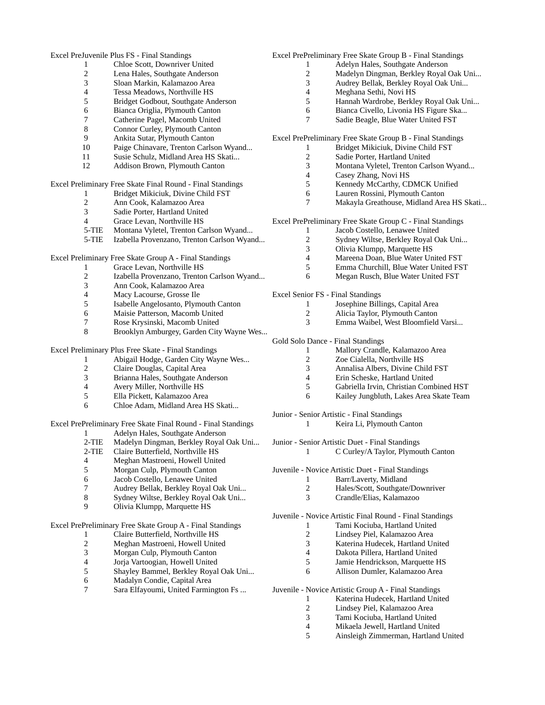#### Excel PreJuvenile Plus FS - Final Standings

- 1 Chloe Scott, Downriver United<br>2 Lena Hales, Southgate Anderson
- 2 Lena Hales, Southgate Anderson<br>3 Sloan Markin, Kalamazoo Area
- Sloan Markin, Kalamazoo Area
- Tessa Meadows, Northville HS
- Bridget Godbout, Southgate Anderson
- Bianca Origlia, Plymouth Canton Catherine Pagel, Macomb United
- Connor Curley, Plymouth Canton
- 
- Ankita Sutar, Plymouth Canton
- Paige Chinavare, Trenton Carlson Wyand...
- 11 Susie Schulz, Midland Area HS Skati...<br>12 Addison Brown Plymouth Canton
- Addison Brown, Plymouth Canton

Excel Preliminary Free Skate Final Round - Final Standings

- Bridget Mikiciuk, Divine Child FST
- Ann Cook, Kalamazoo Area
- Sadie Porter, Hartland United
- Grace Levan, Northville HS
- 5-TIE Montana Vyletel, Trenton Carlson Wyand...
- 5-TIE Izabella Provenzano, Trenton Carlson Wyand...

Excel Preliminary Free Skate Group A - Final Standings

- Grace Levan, Northville HS
- Izabella Provenzano, Trenton Carlson Wyand...
- Ann Cook, Kalamazoo Area
- Macy Lacourse, Grosse Ile
- Isabelle Angelosanto, Plymouth Canton
- Maisie Patterson, Macomb United
- Rose Krysinski, Macomb United
- Brooklyn Amburgey, Garden City Wayne Wes...

# Excel Preliminary Plus Free Skate - Final Standings

- Abigail Hodge, Garden City Wayne Wes...
- Claire Douglas, Capital Area
- Brianna Hales, Southgate Anderson
- 4 Avery Miller, Northville HS<br>5 Ella Pickett, Kalamazoo Area
- Ella Pickett, Kalamazoo Area
- Chloe Adam, Midland Area HS Skati...

# Excel PrePreliminary Free Skate Final Round - Final Standings

- 1 **Adelyn Hales, Southgate Anderson**<br>2-TIE Madelyn Dingman, Berkley Royal (
- Madelyn Dingman, Berkley Royal Oak Uni...
- 2-TIE Claire Butterfield, Northville HS
- Meghan Mastroeni, Howell United
- Morgan Culp, Plymouth Canton
- Jacob Costello, Lenawee United
- Audrey Bellak, Berkley Royal Oak Uni...
- Sydney Wiltse, Berkley Royal Oak Uni...
- Olivia Klumpp, Marquette HS

Excel PrePreliminary Free Skate Group A - Final Standings

- Claire Butterfield, Northville HS
- 2 Meghan Mastroeni, Howell United<br>3 Morgan Culp, Plymouth Canton
- Morgan Culp, Plymouth Canton
- Jorja Vartoogian, Howell United
- Shayley Bammel, Berkley Royal Oak Uni...
- Madalyn Condie, Capital Area
- Sara Elfayoumi, United Farmington Fs ...

# Excel PrePreliminary Free Skate Group B - Final Standings

- 1 Adelyn Hales, Southgate Anderson<br>2 Madelyn Dingman, Berkley Royal (
	- Madelyn Dingman, Berkley Royal Oak Uni...
- Audrey Bellak, Berkley Royal Oak Uni...
- Meghana Sethi, Novi HS
- Hannah Wardrobe, Berkley Royal Oak Uni...
- Bianca Civello, Livonia HS Figure Ska... Sadie Beagle, Blue Water United FST

Excel PrePreliminary Free Skate Group B - Final Standings

- 1 Bridget Mikiciuk, Divine Child FST<br>2 Sadie Porter, Hartland United
- 2 Sadie Porter, Hartland United<br>3 Montana Vyletel. Trenton Carl
- Montana Vyletel, Trenton Carlson Wyand...
- Casey Zhang, Novi HS
- Kennedy McCarthy, CDMCK Unified
- Lauren Rossini, Plymouth Canton
- Makayla Greathouse, Midland Area HS Skati...

Excel PrePreliminary Free Skate Group C - Final Standings

- Jacob Costello, Lenawee United
- Sydney Wiltse, Berkley Royal Oak Uni...
- Olivia Klumpp, Marquette HS
- Mareena Doan, Blue Water United FST
- Emma Churchill, Blue Water United FST
- Megan Rusch, Blue Water United FST

Excel Senior FS - Final Standings

- Josephine Billings, Capital Area
- Alicia Taylor, Plymouth Canton
- Emma Waibel, West Bloomfield Varsi...
- Gold Solo Dance Final Standings
	- Mallory Crandle, Kalamazoo Area
	- Zoe Cialella, Northville HS
	- Annalisa Albers, Divine Child FST
	- 4 Erin Scheske, Hartland United<br>5 Gabriella Irvin, Christian Coml
	- Gabriella Irvin, Christian Combined HST
	- Kailey Jungbluth, Lakes Area Skate Team

Junior - Senior Artistic - Final Standings

Keira Li, Plymouth Canton

Junior - Senior Artistic Duet - Final Standings C Curley/A Taylor, Plymouth Canton

- Juvenile Novice Artistic Duet Final Standings
	- Barr/Laverty, Midland
		- Hales/Scott, Southgate/Downriver
		- Crandle/Elias, Kalamazoo

Juvenile - Novice Artistic Final Round - Final Standings

Juvenile - Novice Artistic Group A - Final Standings

- 1 Tami Kociuba, Hartland United<br>2 Lindsey Piel, Kalamazoo Area
- Lindsey Piel, Kalamazoo Area
- Katerina Hudecek, Hartland United
- Dakota Pillera, Hartland United Jamie Hendrickson, Marquette HS Allison Dumler, Kalamazoo Area

 Katerina Hudecek, Hartland United Lindsey Piel, Kalamazoo Area 3 Tami Kociuba, Hartland United<br>4 Mikaela Jewell, Hartland United Mikaela Jewell, Hartland United Ainsleigh Zimmerman, Hartland United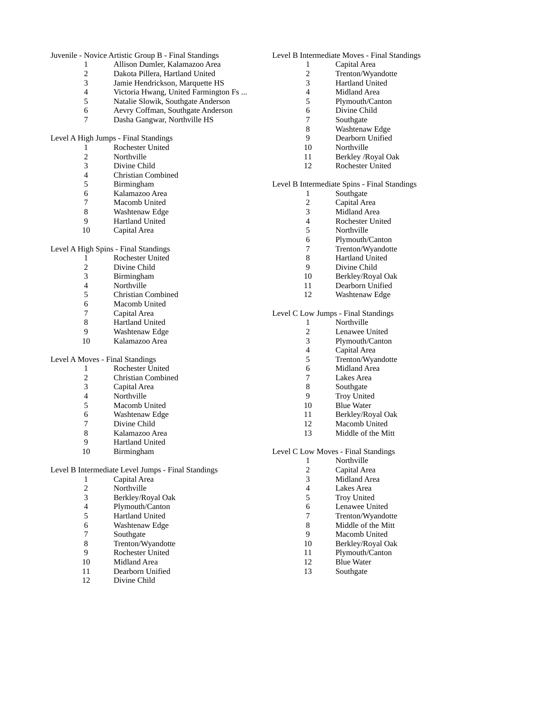Juvenile - Novice Artistic Group B - Final Standings

- 1 Allison Dumler, Kalamazoo Area<br>2 Dakota Pillera, Hartland United
- 2 Dakota Pillera, Hartland United<br>3 Jamie Hendrickson, Marquette H
- Jamie Hendrickson, Marquette HS
- Victoria Hwang, United Farmington Fs ...
- Natalie Slowik, Southgate Anderson
- Aevry Coffman, Southgate Anderson
- Dasha Gangwar, Northville HS

#### Level A High Jumps - Final Standings

- 1 Rochester United<br>2 Northville
- 2 Northville<br>3 Divine Chi
- Divine Child
- Christian Combined
- **Birmingham**
- Kalamazoo Area
- Macomb United
- Washtenaw Edge
- Hartland United
- Capital Area
- 

# Level A High Spins - Final Standings

- Rochester United
- 2 Divine Child<br>3 Birmingham
- Birmingham
- 4 Northville<br>5 Christian C
- Christian Combined
- 6 Macomb United<br>7 Capital Area
- 7 Capital Area<br>8 Hartland Uni
- Hartland United
- Washtenaw Edge
- Kalamazoo Area

#### Level A Moves - Final Standings

- 1 Rochester United<br>2 Christian Combin
- 2 Christian Combined<br>3 Capital Area
- Capital Area
- Northville
- Macomb United
- Washtenaw Edge
- 
- 7 Divine Child<br>8 Kalamazoo A
- 8 Kalamazoo Area<br>9 Hartland United Hartland United
- Birmingham
- 

#### Level B Intermediate Level Jumps - Final Standings

- Capital Area Northville Berkley/Royal Oak 4 Plymouth/Canton<br>5 Hartland United 5 Hartland United<br>6 Washtenaw Edge Washtenaw Edge 7 Southgate<br>8 Trenton/W 8 Trenton/Wyandotte<br>9 Rochester United Rochester United
- 
- Midland Area
- Dearborn Unified
- Divine Child

# Level B Intermediate Moves - Final Standings

- 1 Capital Area<br>2 Trenton/Wyar
- Trenton/Wyandotte
- Hartland United
- Midland Area
- Plymouth/Canton
- Divine Child
- Southgate
- Washtenaw Edge
- Dearborn Unified
- Northville
- 11 Berkley / Royal Oak<br>12 Rochester United
- Rochester United

#### Level B Intermediate Spins - Final Standings

- Southgate
- Capital Area
- Midland Area
- Rochester United
- Northville
- Plymouth/Canton
- Trenton/Wyandotte
- Hartland United
- Divine Child
- Berkley/Royal Oak
- 
- Dearborn Unified
- Washtenaw Edge

# Level C Low Jumps - Final Standings

- Northville
- Lenawee United
- Plymouth/Canton
- 4 Capital Area<br>5 Trenton/Wya
- Trenton/Wyandotte
- 6 Midland Area<br>7 Lakes Area
- Lakes Area
- 8 Southgate<br>9 Troy Unite
- Troy United
- Blue Water
- Berkley/Royal Oak Macomb United
- Middle of the Mitt
- 

#### Level C Low Moves - Final Standings

- Northville
- Capital Area
- Midland Area
- Lakes Area
- Troy United
- Lenawee United
- Trenton/Wyandotte
- 8 Middle of the Mitt<br>9 Macomb United
- Macomb United Berkley/Royal Oak Plymouth/Canton

 Blue Water Southgate